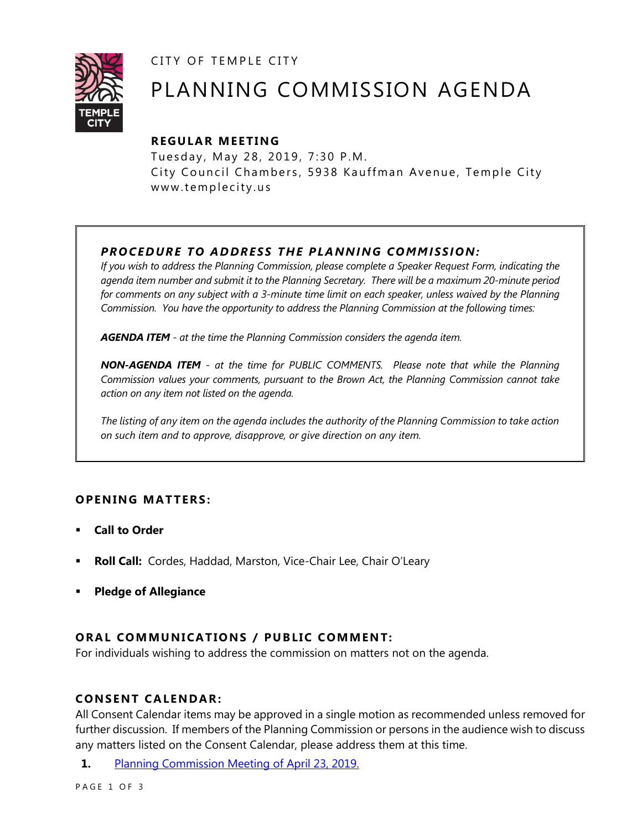CITY OF TEMPLE CITY



# PLANNING COMMISSION AGENDA

# **R EGULA R MEE TING**

Tuesday, May 28, 2019, 7:30 P.M. City Council Chambers, 5938 Kauffman Avenue, Temple City www.templecity.us

# *PRO CE DURE TO ADDRE SS THE P LA NNI NG COMM I SSION:*

*If you wish to address the Planning Commission, please complete a Speaker Request Form, indicating the agenda item number and submit it to the Planning Secretary. There will be a maximum 20-minute period*  for comments on any subject with a 3-minute time limit on each speaker, unless waived by the Planning *Commission. You have the opportunity to address the Planning Commission at the following times:*

*AGENDA ITEM - at the time the Planning Commission considers the agenda item.*

*NON-AGENDA ITEM - at the time for PUBLIC COMMENTS. Please note that while the Planning Commission values your comments, pursuant to the Brown Act, the Planning Commission cannot take action on any item not listed on the agenda.*

*The listing of any item on the agenda includes the authority of the Planning Commission to take action on such item and to approve, disapprove, or give direction on any item.*

## **OPENING MATTERS:**

- **Call to Order**
- **Roll Call:** Cordes, Haddad, Marston, Vice-Chair Lee, Chair O'Leary
- **Pledge of Allegiance**

## **ORAL COMMUNICATIONS / PUBLIC COMMENT:**

For individuals wishing to address the commission on matters not on the agenda.

#### **CONSENT CA LENDAR:**

All Consent Calendar items may be approved in a single motion as recommended unless removed for further discussion. If members of the Planning Commission or persons in the audience wish to discuss any matters listed on the Consent Calendar, please address them at this time.

**1.** [Planning Commission Meeting of April 23, 2019.](https://www.ci.temple-city.ca.us/DocumentCenter/View/12494/PCM-0423)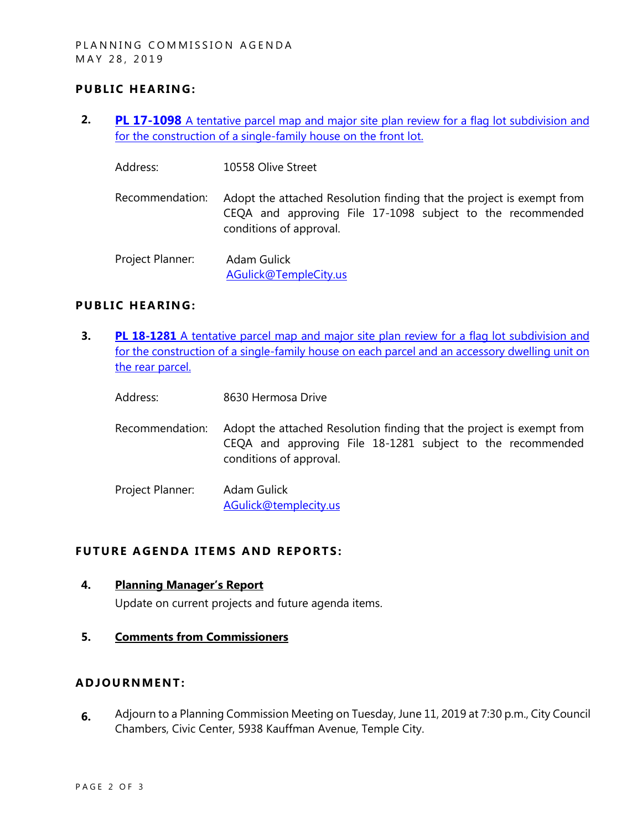### **PUBLIC HEARING:**

- **2. PL 17-1098** [A tentative parcel map and major site plan review for a flag lot subdivision and](https://www.ci.temple-city.ca.us/DocumentCenter/View/12495/PL-17-1098-10558-Olive-Attachment-1) [for the construction of a single-family house on the front lot.](https://www.ci.temple-city.ca.us/DocumentCenter/View/12495/PL-17-1098-10558-Olive-Attachment-1)
	- Address: 10558 Olive Street
	- Recommendation: Adopt the attached Resolution finding that the project is exempt from CEQA and approving File 17-1098 subject to the recommended conditions of approval.

Project Planner: Adam Gulick [AGulick@TempleCity.us](mailto:AGulick@TempleCity.us)

#### **PUBLIC HEARING:**

- **3. PL 18-1281** A tentative parcel map and major site plan review for a flag lot subdivision and [for the construction of a single-family house](https://www.ci.temple-city.ca.us/DocumentCenter/View/12496/PL-18-1281-8630-Hermosa-Attachment-2) on each parcel and an accessory dwelling unit on [the rear parcel.](https://www.ci.temple-city.ca.us/DocumentCenter/View/12496/PL-18-1281-8630-Hermosa-Attachment-2) 
	- Address: 8630 Hermosa Drive
	- Recommendation: Adopt the attached Resolution finding that the project is exempt from CEQA and approving File 18-1281 subject to the recommended conditions of approval.
	- Project Planner: Adam Gulick [AGulick@templecity.us](mailto:AGulick@templecity.us)

### **FUTURE AGENDA ITEMS AND REPORTS:**

**4. Planning Manager's Report**

Update on current projects and future agenda items.

**5. Comments from Commissioners**

### **ADJOU RNMENT:**

**6.** Adjourn to a Planning Commission Meeting on Tuesday, June 11, 2019 at 7:30 p.m., City Council Chambers, Civic Center, 5938 Kauffman Avenue, Temple City.